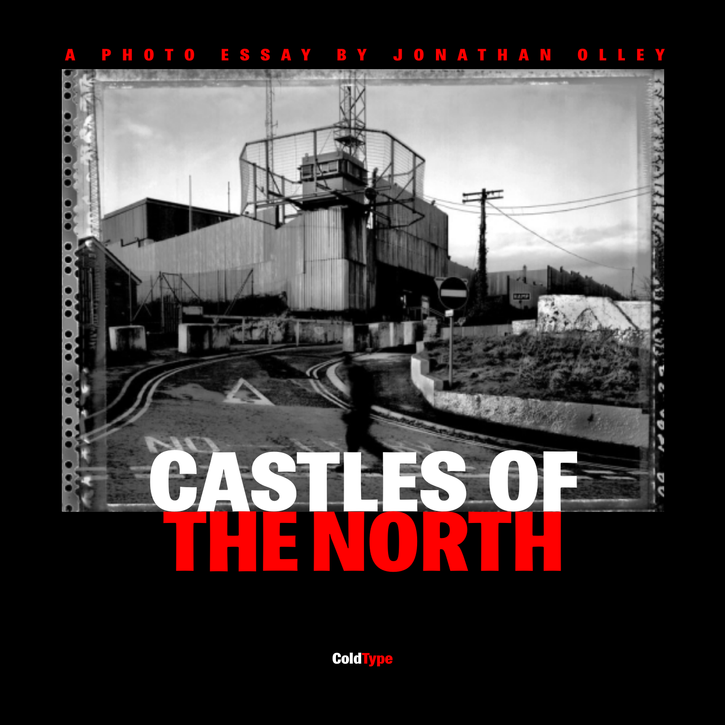



**ColdType**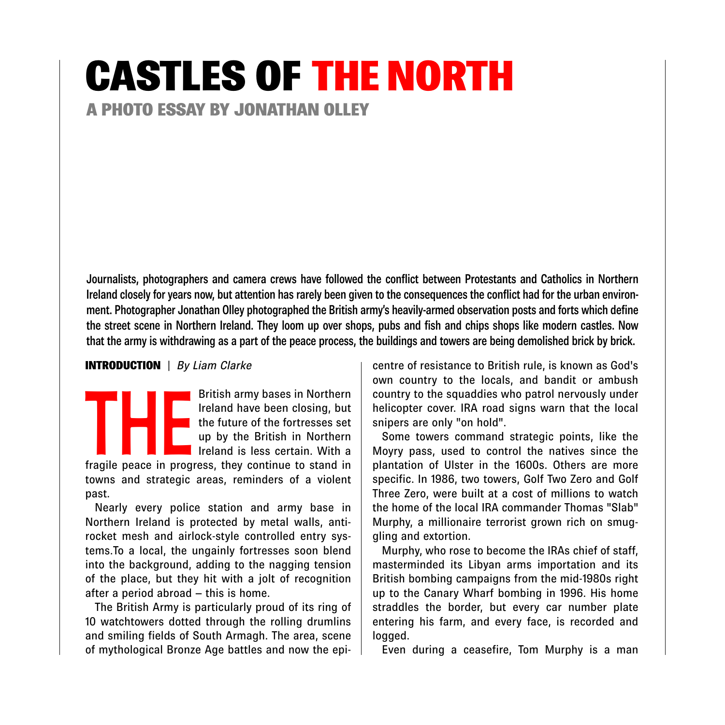# CASTLES OF THE NORTH

A PHOTO ESSAY BY JONATHAN OLLEY

Journalists, photographers and camera crews have followed the conflict between Protestants and Catholics in Northern Ireland closely for years now, but attention has rarely been given to the consequences the conflict had for the urban environment. Photographer Jonathan Olley photographed the British army's heavily-armed observation posts and forts which define the street scene in Northern Ireland. They loom up over shops, pubs and fish and chips shops like modern castles. Now that the army is withdrawing as a part of the peace process, the buildings and towers are being demolished brick by brick.

#### INTRODUCTION | *By Liam Clarke*

British army bases in Northern<br>
Ireland have been closing, but<br>
the future of the fortresses set<br>
up by the British in Northern<br>
Ireland is less certain. With a<br>
fragile peace in progress, they continue to stand in Ireland have been closing, but the future of the fortresses set up by the British in Northern Ireland is less certain. With a

towns and strategic areas, reminders of a violent past.

Nearly every police station and army base in Northern Ireland is protected by metal walls, antirocket mesh and airlock-style controlled entry systems.To a local, the ungainly fortresses soon blend into the background, adding to the nagging tension of the place, but they hit with a jolt of recognition after a period abroad – this is home.

The British Army is particularly proud of its ring of 10 watchtowers dotted through the rolling drumlins and smiling fields of South Armagh. The area, scene of mythological Bronze Age battles and now the epicentre of resistance to British rule, is known as God's own country to the locals, and bandit or ambush country to the squaddies who patrol nervously under helicopter cover. IRA road signs warn that the local snipers are only "on hold".

Some towers command strategic points, like the Moyry pass, used to control the natives since the plantation of Ulster in the 1600s. Others are more specific. In 1986, two towers, Golf Two Zero and Golf Three Zero, were built at a cost of millions to watch the home of the local IRA commander Thomas "Slab" Murphy, a millionaire terrorist grown rich on smuggling and extortion.

Murphy, who rose to become the IRAs chief of staff, masterminded its Libyan arms importation and its British bombing campaigns from the mid-1980s right up to the Canary Wharf bombing in 1996. His home straddles the border, but every car number plate entering his farm, and every face, is recorded and logged.

Even during a ceasefire, Tom Murphy is a man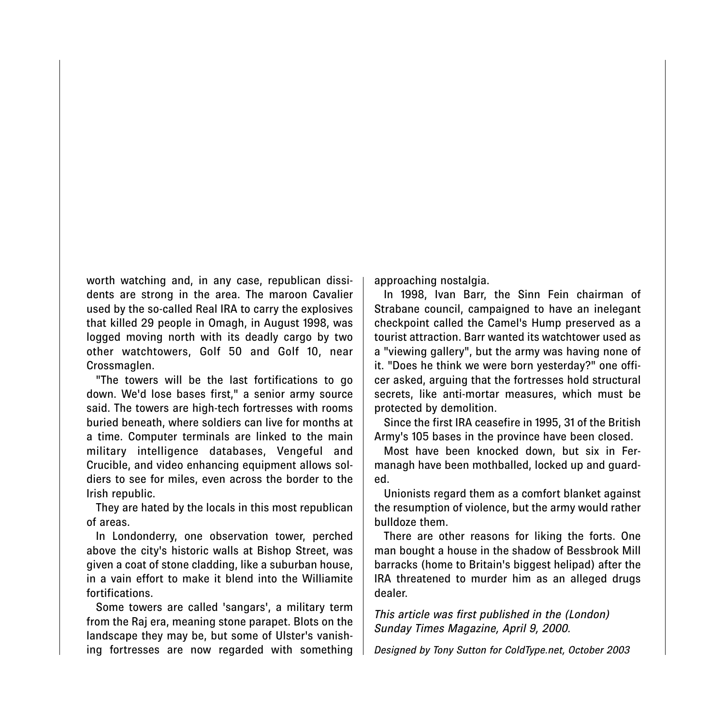worth watching and, in any case, republican dissidents are strong in the area. The maroon Cavalier used by the so-called Real IRA to carry the explosives that killed 29 people in Omagh, in August 1998, was logged moving north with its deadly cargo by two other watchtowers, Golf 50 and Golf 10, near Crossmaglen.

"The towers will be the last fortifications to go down. We'd lose bases first," a senior army source said. The towers are high-tech fortresses with rooms buried beneath, where soldiers can live for months at a time. Computer terminals are linked to the main military intelligence databases, Vengeful and Crucible, and video enhancing equipment allows soldiers to see for miles, even across the border to the Irish republic.

They are hated by the locals in this most republican of areas.

In Londonderry, one observation tower, perched above the city's historic walls at Bishop Street, was given a coat of stone cladding, like a suburban house, in a vain effort to make it blend into the Williamite fortifications.

Some towers are called 'sangars', a military term from the Raj era, meaning stone parapet. Blots on the landscape they may be, but some of Ulster's vanishing fortresses are now regarded with something approaching nostalgia.

In 1998, Ivan Barr, the Sinn Fein chairman of Strabane council, campaigned to have an inelegant checkpoint called the Camel's Hump preserved as a tourist attraction. Barr wanted its watchtower used as a "viewing gallery", but the army was having none of it. "Does he think we were born yesterday?" one officer asked, arguing that the fortresses hold structural secrets, like anti-mortar measures, which must be protected by demolition.

Since the first IRA ceasefire in 1995, 31 of the British Army's 105 bases in the province have been closed.

Most have been knocked down, but six in Fermanagh have been mothballed, locked up and guarded.

Unionists regard them as a comfort blanket against the resumption of violence, but the army would rather bulldoze them.

There are other reasons for liking the forts. One man bought a house in the shadow of Bessbrook Mill barracks (home to Britain's biggest helipad) after the IRA threatened to murder him as an alleged drugs dealer.

*This article was first published in the (London) Sunday Times Magazine, April 9, 2000.*

*Designed by Tony Sutton for ColdType.net, October 2003*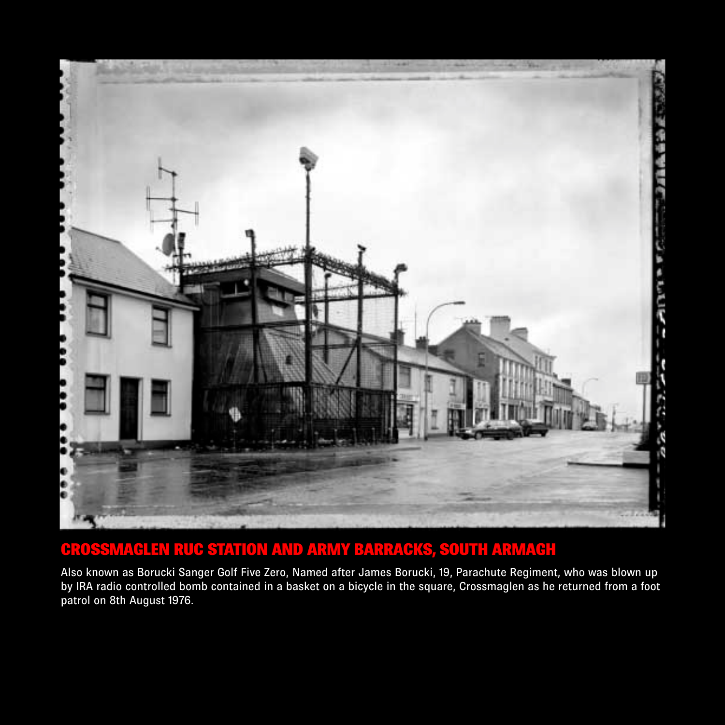

#### CROSSMAGLEN RUC STATION AND ARMY BARRACKS, SOUTH ARMAGH

Also known as Borucki Sanger Golf Five Zero, Named after James Borucki, 19, Parachute Regiment, who was blown up by IRA radio controlled bomb contained in a basket on a bicycle in the square, Crossmaglen as he returned from a foot patrol on 8th August 1976.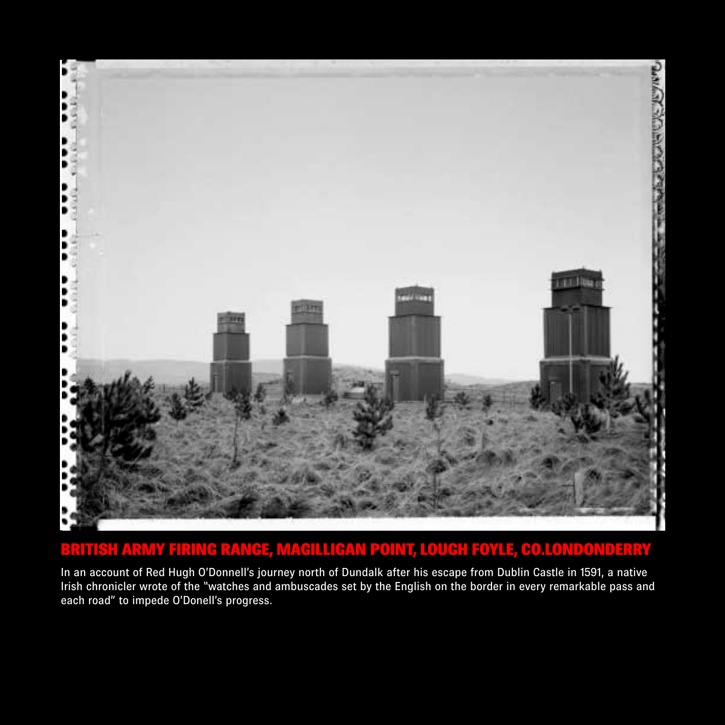

#### BRITISH ARMY FIRING RANGE, MAGILLIGAN POINT, LOUGH FOYLE, CO.LONDONDERRY

In an account of Red Hugh O'Donnell's journey north of Dundalk after his escape from Dublin Castle in 1591, a native Irish chronicler wrote of the "watches and ambuscades set by the English on the border in every remarkable pass and each road" to impede O'Donell's progress.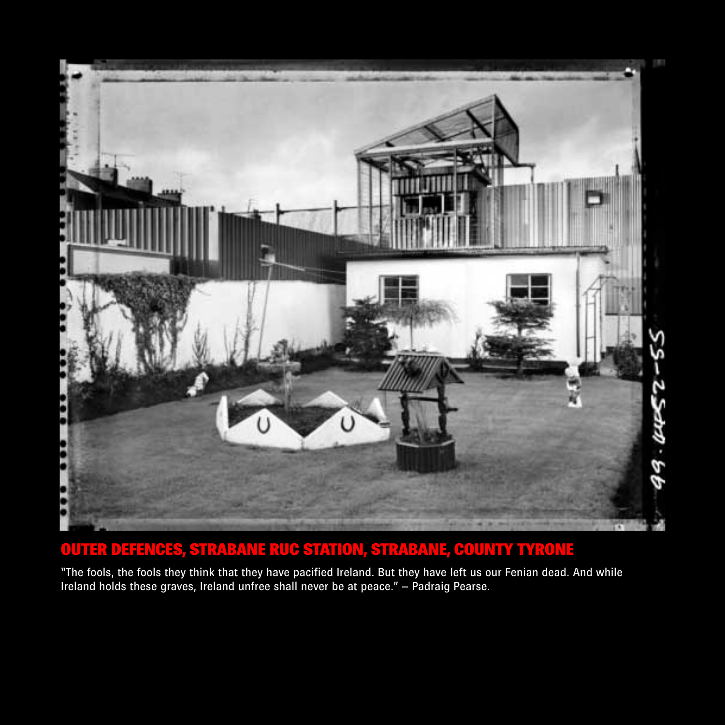

#### OUTER DEFENCES, STRABANE RUC STATION, STRABANE, COUNTY TYRONE

"The fools, the fools they think that they have pacified Ireland. But they have left us our Fenian dead. And while Ireland holds these graves, Ireland unfree shall never be at peace." – Padraig Pearse.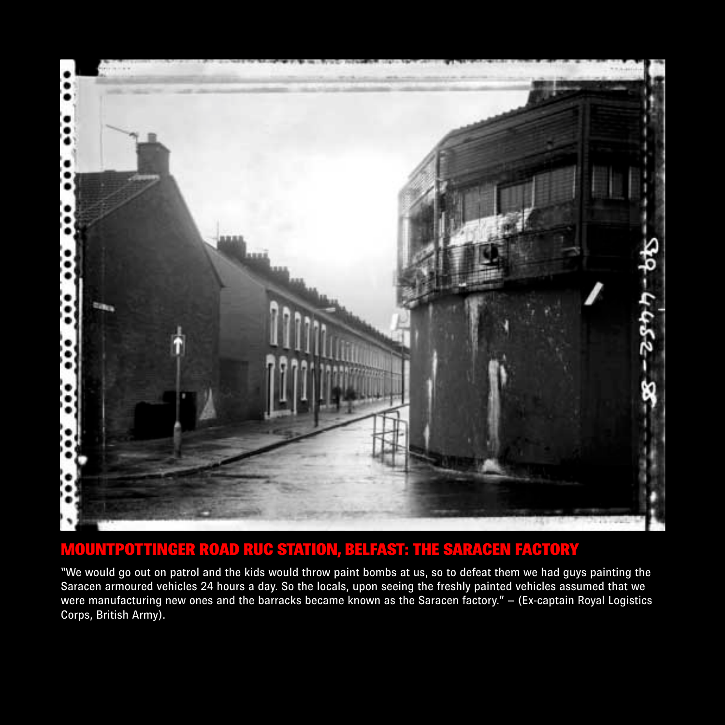

#### MOUNTPOTTINGER ROAD RUC STATION, BELFAST: THE SARACEN FACTORY

"We would go out on patrol and the kids would throw paint bombs at us, so to defeat them we had guys painting the Saracen armoured vehicles 24 hours a day. So the locals, upon seeing the freshly painted vehicles assumed that we were manufacturing new ones and the barracks became known as the Saracen factory." – (Ex-captain Royal Logistics Corps, British Army).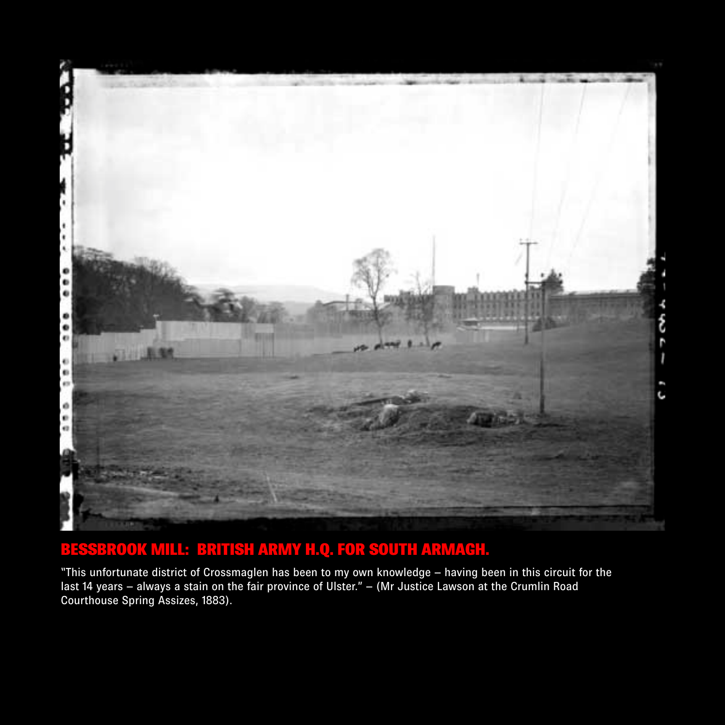

#### BESSBROOK MILL: BRITISH ARMY H.Q. FOR SOUTH ARMAGH.

"This unfortunate district of Crossmaglen has been to my own knowledge – having been in this circuit for the last 14 years – always a stain on the fair province of Ulster." – (Mr Justice Lawson at the Crumlin Road Courthouse Spring Assizes, 1883).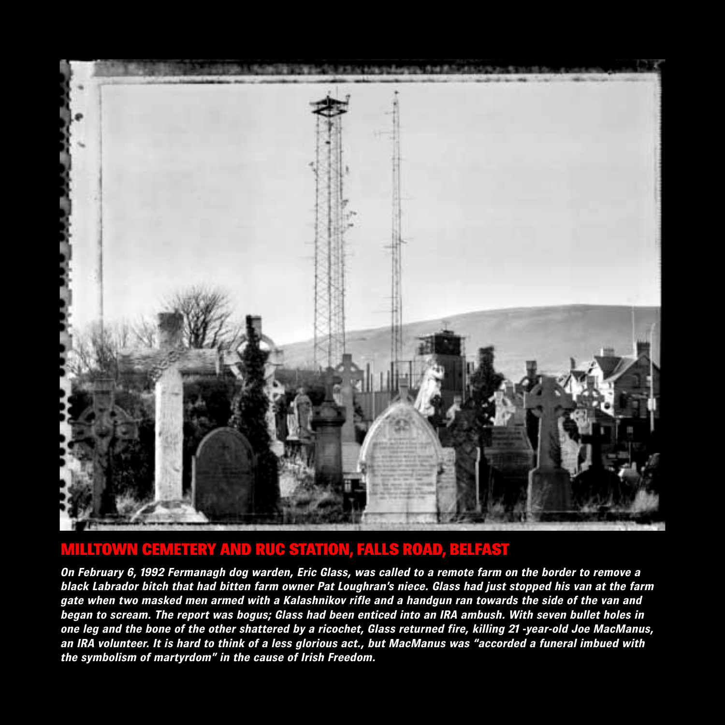

#### MILLTOWN CEMETERY AND RUC STATION, FALLS ROAD, BELFAST

*On February 6, 1992 Fermanagh dog warden, Eric Glass, was called to a remote farm on the border to remove a black Labrador bitch that had bitten farm owner Pat Loughran's niece. Glass had just stopped his van at the farm gate when two masked men armed with a Kalashnikov rifle and a handgun ran towards the side of the van and began to scream. The report was bogus; Glass had been enticed into an IRA ambush. With seven bullet holes in one leg and the bone of the other shattered by a ricochet, Glass returned fire, killing 21 -year-old Joe MacManus, an IRA volunteer. It is hard to think of a less glorious act., but MacManus was "accorded a funeral imbued with the symbolism of martyrdom" in the cause of Irish Freedom.*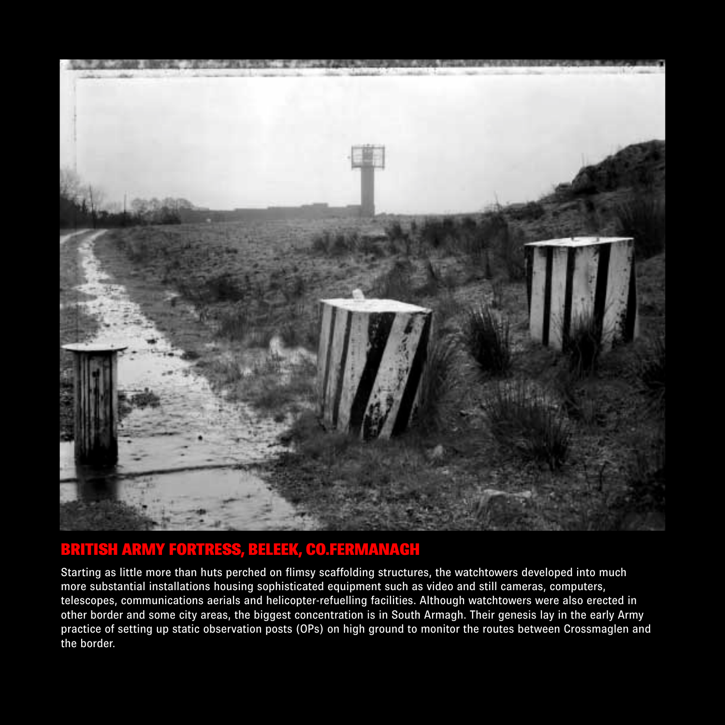

#### BRITISH ARMY FORTRESS, BELEEK, CO.FERMANAGH

Starting as little more than huts perched on flimsy scaffolding structures, the watchtowers developed into much more substantial installations housing sophisticated equipment such as video and still cameras, computers, telescopes, communications aerials and helicopter-refuelling facilities. Although watchtowers were also erected in other border and some city areas, the biggest concentration is in South Armagh. Their genesis lay in the early Army practice of setting up static observation posts (OPs) on high ground to monitor the routes between Crossmaglen and the border.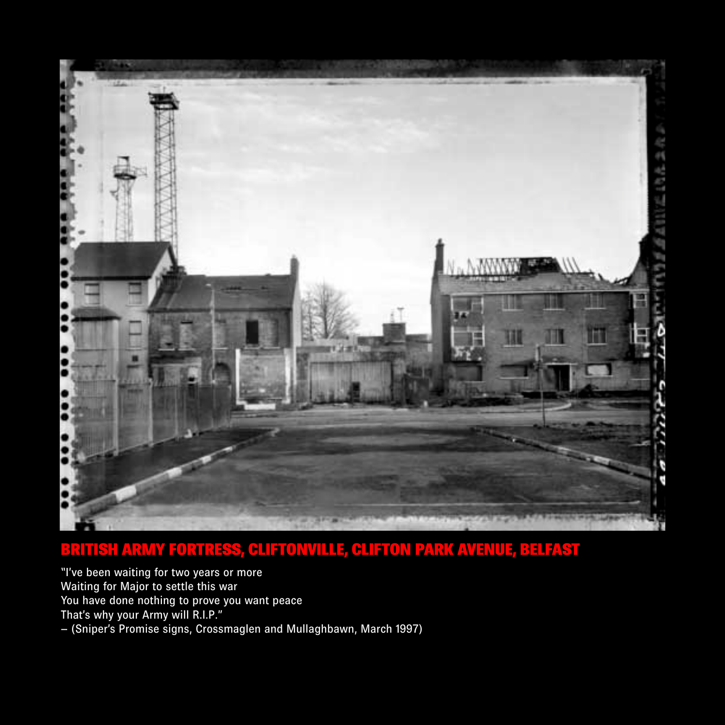

#### BRITISH ARMY FORTRESS, CLIFTONVILLE, CLIFTON PARK AVENUE, BELFAST

"I've been waiting for two years or more Waiting for Major to settle this war You have done nothing to prove you want peace That's why your Army will R.I.P." – (Sniper's Promise signs, Crossmaglen and Mullaghbawn, March 1997)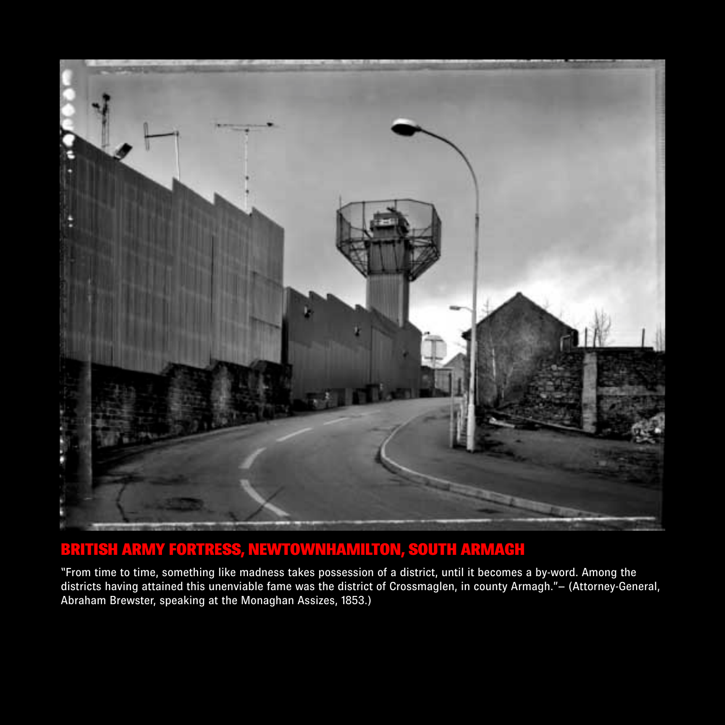

### BRITISH ARMY FORTRESS, NEWTOWNHAMILTON, SOUTH ARMAGH

"From time to time, something like madness takes possession of a district, until it becomes a by-word. Among the districts having attained this unenviable fame was the district of Crossmaglen, in county Armagh."– (Attorney-General, Abraham Brewster, speaking at the Monaghan Assizes, 1853.)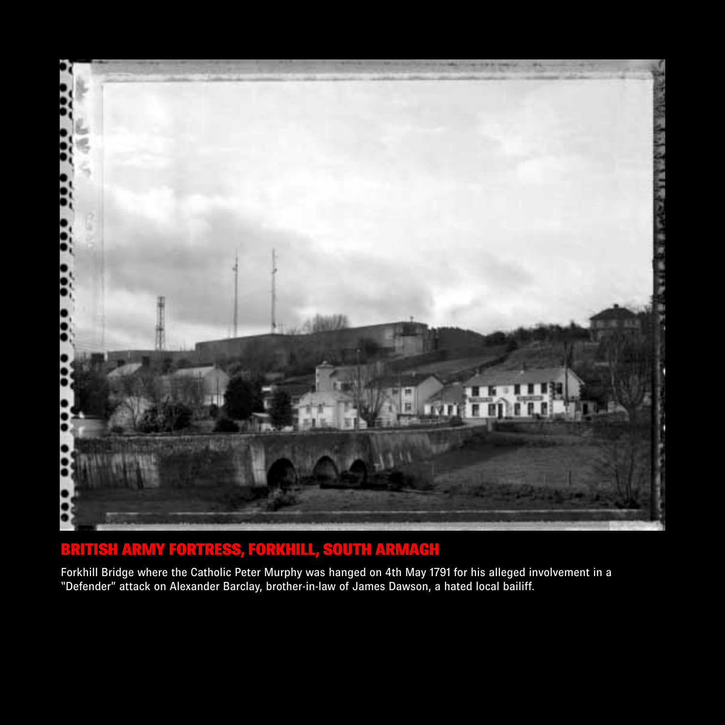

### BRITISH ARMY FORTRESS, FORKHILL, SOUTH ARMAGH

Forkhill Bridge where the Catholic Peter Murphy was hanged on 4th May 1791 for his alleged involvement in a "Defender" attack on Alexander Barclay, brother-in-law of James Dawson, a hated local bailiff.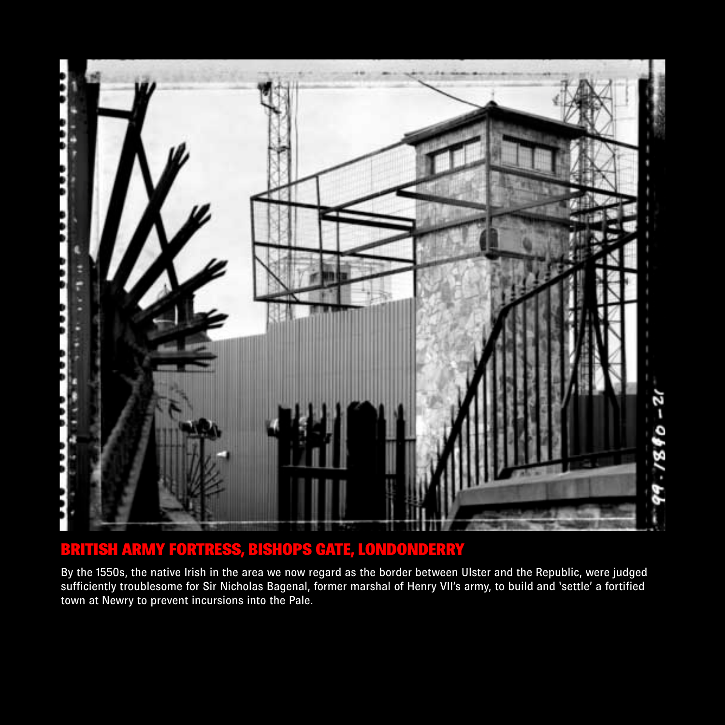

#### BRITISH ARMY FORTRESS, BISHOPS GATE, LONDONDERRY

By the 1550s, the native Irish in the area we now regard as the border between Ulster and the Republic, were judged sufficiently troublesome for Sir Nicholas Bagenal, former marshal of Henry VII's army, to build and 'settle' a fortified town at Newry to prevent incursions into the Pale.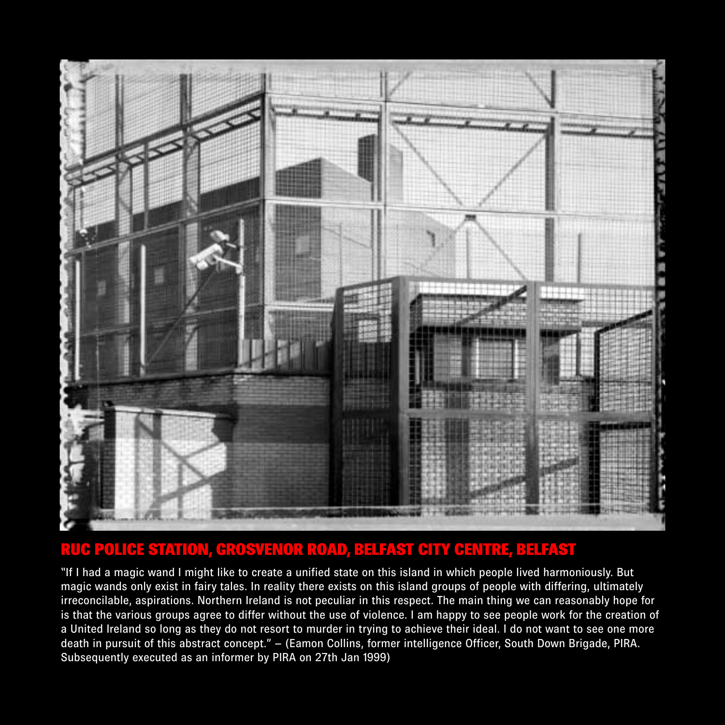

#### RUC POLICE STATION, GROSVENOR ROAD, BELFAST CITY CENTRE, BELFAST

"If I had a magic wand I might like to create a unified state on this island in which people lived harmoniously. But magic wands only exist in fairy tales. In reality there exists on this island groups of people with differing, ultimately irreconcilable, aspirations. Northern Ireland is not peculiar in this respect. The main thing we can reasonably hope for is that the various groups agree to differ without the use of violence. I am happy to see people work for the creation of a United Ireland so long as they do not resort to murder in trying to achieve their ideal. I do not want to see one more death in pursuit of this abstract concept." – (Eamon Collins, former intelligence Officer, South Down Brigade, PIRA. Subsequently executed as an informer by PIRA on 27th Jan 1999)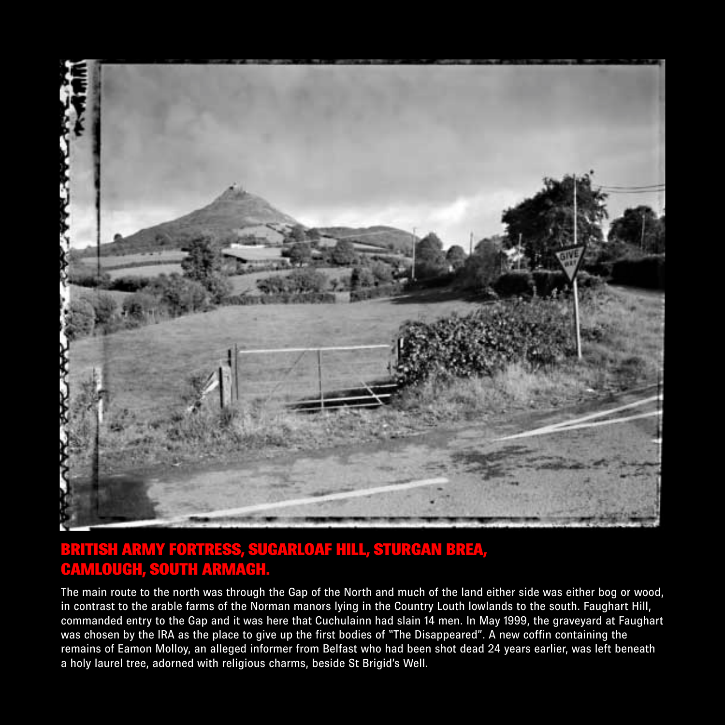

#### BRITISH ARMY FORTRESS, SUGARLOAF HILL, STURGAN BREA, CAMLOUGH, SOUTH ARMAGH.

The main route to the north was through the Gap of the North and much of the land either side was either bog or wood, in contrast to the arable farms of the Norman manors lying in the Country Louth lowlands to the south. Faughart Hill, commanded entry to the Gap and it was here that Cuchulainn had slain 14 men. In May 1999, the graveyard at Faughart was chosen by the IRA as the place to give up the first bodies of "The Disappeared". A new coffin containing the remains of Eamon Molloy, an alleged informer from Belfast who had been shot dead 24 years earlier, was left beneath a holy laurel tree, adorned with religious charms, beside St Brigid's Well.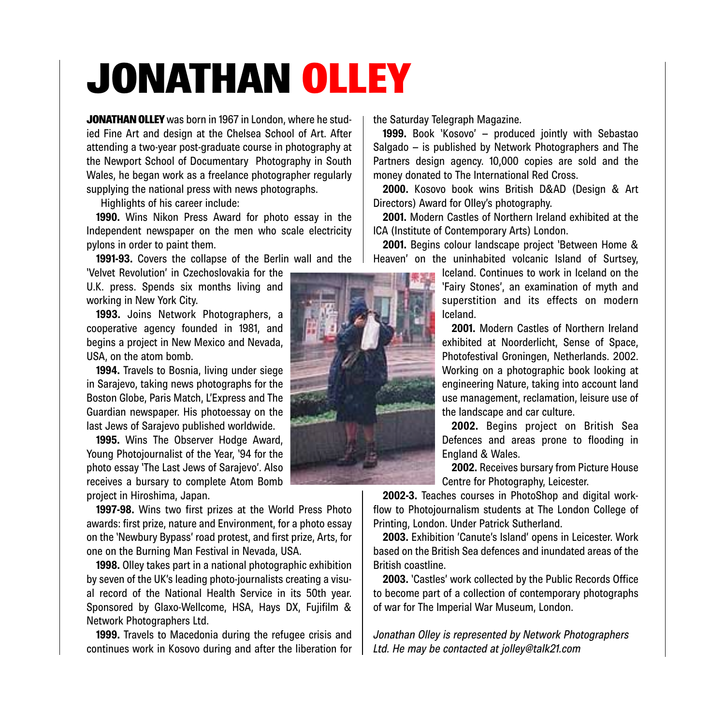## JONATHAN OLLEY

JONATHAN OLLEY was born in 1967 in London, where he studied Fine Art and design at the Chelsea School of Art. After attending a two-year post-graduate course in photography at the Newport School of Documentary Photography in South Wales, he began work as a freelance photographer regularly supplying the national press with news photographs.

Highlights of his career include:

**1990.** Wins Nikon Press Award for photo essay in the Independent newspaper on the men who scale electricity pylons in order to paint them.

**1991-93.** Covers the collapse of the Berlin wall and the

'Velvet Revolution' in Czechoslovakia for the U.K. press. Spends six months living and working in New York City.

**1993.** Joins Network Photographers, a cooperative agency founded in 1981, and begins a project in New Mexico and Nevada, USA, on the atom bomb.

**1994.** Travels to Bosnia, living under siege in Sarajevo, taking news photographs for the Boston Globe, Paris Match, L'Express and The Guardian newspaper. His photoessay on the last Jews of Sarajevo published worldwide.

**1995.** Wins The Observer Hodge Award, Young Photojournalist of the Year, '94 for the photo essay 'The Last Jews of Sarajevo'. Also receives a bursary to complete Atom Bomb project in Hiroshima, Japan.

**1997-98.** Wins two first prizes at the World Press Photo awards: first prize, nature and Environment, for a photo essay on the 'Newbury Bypass' road protest, and first prize, Arts, for one on the Burning Man Festival in Nevada, USA.

**1998.** Olley takes part in a national photographic exhibition by seven of the UK's leading photo-journalists creating a visual record of the National Health Service in its 50th year. Sponsored by Glaxo-Wellcome, HSA, Hays DX, Fujifilm & Network Photographers Ltd.

**1999.** Travels to Macedonia during the refugee crisis and continues work in Kosovo during and after the liberation for the Saturday Telegraph Magazine.

**1999.** Book 'Kosovo' – produced jointly with Sebastao Salgado – is published by Network Photographers and The Partners design agency. 10,000 copies are sold and the money donated to The International Red Cross.

**2000.** Kosovo book wins British D&AD (Design & Art Directors) Award for Olley's photography.

**2001.** Modern Castles of Northern Ireland exhibited at the ICA (Institute of Contemporary Arts) London.

**2001.** Begins colour landscape project 'Between Home & Heaven' on the uninhabited volcanic Island of Surtsey,

> Iceland. Continues to work in Iceland on the 'Fairy Stones', an examination of myth and superstition and its effects on modern Iceland.

> **2001.** Modern Castles of Northern Ireland exhibited at Noorderlicht, Sense of Space, Photofestival Groningen, Netherlands. 2002. Working on a photographic book looking at engineering Nature, taking into account land use management, reclamation, leisure use of the landscape and car culture.

> **2002.** Begins project on British Sea Defences and areas prone to flooding in England & Wales.

> **2002.** Receives bursary from Picture House Centre for Photography, Leicester.

**2002-3.** Teaches courses in PhotoShop and digital workflow to Photojournalism students at The London College of Printing, London. Under Patrick Sutherland.

**2003.** Exhibition 'Canute's Island' opens in Leicester. Work based on the British Sea defences and inundated areas of the British coastline.

**2003.** 'Castles' work collected by the Public Records Office to become part of a collection of contemporary photographs of war for The Imperial War Museum, London.

*Jonathan Olley is represented by Network Photographers Ltd. He may be contacted at jolley@talk21.com*